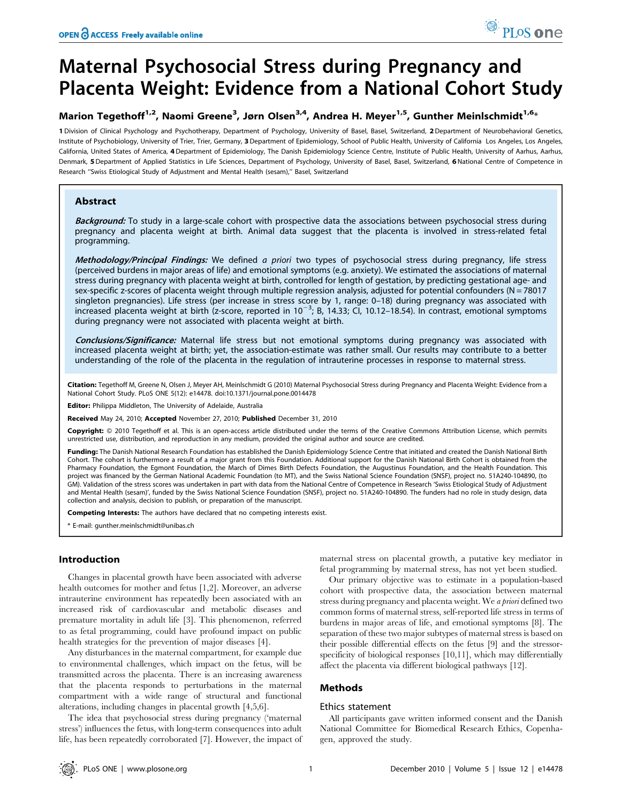# Maternal Psychosocial Stress during Pregnancy and Placenta Weight: Evidence from a National Cohort Study

# Marion Tegethoff<sup>1,2</sup>, Naomi Greene<sup>3</sup>, Jørn Olsen<sup>3,4</sup>, Andrea H. Meyer<sup>1,5</sup>, Gunther Meinlschmidt<sup>1,6</sup>\*

1 Division of Clinical Psychology and Psychotherapy, Department of Psychology, University of Basel, Basel, Switzerland, 2 Department of Neurobehavioral Genetics, Institute of Psychobiology, University of Trier, Trier, Germany, 3 Department of Epidemiology, School of Public Health, University of California Los Angeles, Los Angeles, California, United States of America, 4 Department of Epidemiology, The Danish Epidemiology Science Centre, Institute of Public Health, University of Aarhus, Aarhus, Denmark, 5Department of Applied Statistics in Life Sciences, Department of Psychology, University of Basel, Basel, Switzerland, 6National Centre of Competence in Research "Swiss Etiological Study of Adjustment and Mental Health (sesam)," Basel, Switzerland

## Abstract

Background: To study in a large-scale cohort with prospective data the associations between psychosocial stress during pregnancy and placenta weight at birth. Animal data suggest that the placenta is involved in stress-related fetal programming.

Methodology/Principal Findings: We defined a priori two types of psychosocial stress during pregnancy, life stress (perceived burdens in major areas of life) and emotional symptoms (e.g. anxiety). We estimated the associations of maternal stress during pregnancy with placenta weight at birth, controlled for length of gestation, by predicting gestational age- and sex-specific z-scores of placenta weight through multiple regression analysis, adjusted for potential confounders (N = 78017 singleton pregnancies). Life stress (per increase in stress score by 1, range: 0–18) during pregnancy was associated with increased placenta weight at birth (z-score, reported in 10<sup>-3</sup>; B, 14.33; Cl, 10.12-18.54). In contrast, emotional symptoms during pregnancy were not associated with placenta weight at birth.

Conclusions/Significance: Maternal life stress but not emotional symptoms during pregnancy was associated with increased placenta weight at birth; yet, the association-estimate was rather small. Our results may contribute to a better understanding of the role of the placenta in the regulation of intrauterine processes in response to maternal stress.

Citation: Tegethoff M, Greene N, Olsen J, Meyer AH, Meinlschmidt G (2010) Maternal Psychosocial Stress during Pregnancy and Placenta Weight: Evidence from a National Cohort Study. PLoS ONE 5(12): e14478. doi:10.1371/journal.pone.0014478

Editor: Philippa Middleton, The University of Adelaide, Australia

Received May 24, 2010; Accepted November 27, 2010; Published December 31, 2010

Copyright: © 2010 Tegethoff et al. This is an open-access article distributed under the terms of the Creative Commons Attribution License, which permits unrestricted use, distribution, and reproduction in any medium, provided the original author and source are credited.

Funding: The Danish National Research Foundation has established the Danish Epidemiology Science Centre that initiated and created the Danish National Birth Cohort. The cohort is furthermore a result of a major grant from this Foundation. Additional support for the Danish National Birth Cohort is obtained from the Pharmacy Foundation, the Egmont Foundation, the March of Dimes Birth Defects Foundation, the Augustinus Foundation, and the Health Foundation. This project was financed by the German National Academic Foundation (to MT), and the Swiss National Science Foundation (SNSF), project no. 51A240-104890, (to GM). Validation of the stress scores was undertaken in part with data from the National Centre of Competence in Research 'Swiss Etiological Study of Adjustment and Mental Health (sesam)', funded by the Swiss National Science Foundation (SNSF), project no. 51A240-104890. The funders had no role in study design, data collection and analysis, decision to publish, or preparation of the manuscript.

Competing Interests: The authors have declared that no competing interests exist.

\* E-mail: gunther.meinlschmidt@unibas.ch

## Introduction

Changes in placental growth have been associated with adverse health outcomes for mother and fetus [1,2]. Moreover, an adverse intrauterine environment has repeatedly been associated with an increased risk of cardiovascular and metabolic diseases and premature mortality in adult life [3]. This phenomenon, referred to as fetal programming, could have profound impact on public health strategies for the prevention of major diseases [4].

Any disturbances in the maternal compartment, for example due to environmental challenges, which impact on the fetus, will be transmitted across the placenta. There is an increasing awareness that the placenta responds to perturbations in the maternal compartment with a wide range of structural and functional alterations, including changes in placental growth [4,5,6].

The idea that psychosocial stress during pregnancy ('maternal stress') influences the fetus, with long-term consequences into adult life, has been repeatedly corroborated [7]. However, the impact of maternal stress on placental growth, a putative key mediator in fetal programming by maternal stress, has not yet been studied.

PLoS one

Our primary objective was to estimate in a population-based cohort with prospective data, the association between maternal stress during pregnancy and placenta weight. We a priori defined two common forms of maternal stress, self-reported life stress in terms of burdens in major areas of life, and emotional symptoms [8]. The separation of these two major subtypes of maternal stress is based on their possible differential effects on the fetus [9] and the stressorspecificity of biological responses [10,11], which may differentially affect the placenta via different biological pathways [12].

## Methods

#### Ethics statement

All participants gave written informed consent and the Danish National Committee for Biomedical Research Ethics, Copenhagen, approved the study.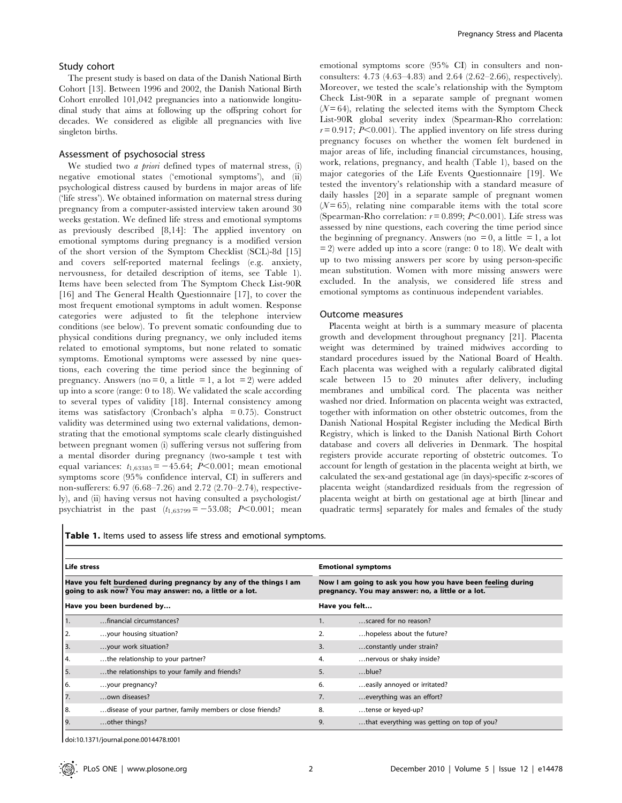#### Study cohort

The present study is based on data of the Danish National Birth Cohort [13]. Between 1996 and 2002, the Danish National Birth Cohort enrolled 101,042 pregnancies into a nationwide longitudinal study that aims at following up the offspring cohort for decades. We considered as eligible all pregnancies with live singleton births.

#### Assessment of psychosocial stress

We studied two *a priori* defined types of maternal stress, (i) negative emotional states ('emotional symptoms'), and (ii) psychological distress caused by burdens in major areas of life ('life stress'). We obtained information on maternal stress during pregnancy from a computer-assisted interview taken around 30 weeks gestation. We defined life stress and emotional symptoms as previously described [8,14]: The applied inventory on emotional symptoms during pregnancy is a modified version of the short version of the Symptom Checklist (SCL)-8d [15] and covers self-reported maternal feelings (e.g. anxiety, nervousness, for detailed description of items, see Table 1). Items have been selected from The Symptom Check List-90R [16] and The General Health Questionnaire [17], to cover the most frequent emotional symptoms in adult women. Response categories were adjusted to fit the telephone interview conditions (see below). To prevent somatic confounding due to physical conditions during pregnancy, we only included items related to emotional symptoms, but none related to somatic symptoms. Emotional symptoms were assessed by nine questions, each covering the time period since the beginning of pregnancy. Answers (no = 0, a little = 1, a lot = 2) were added up into a score (range: 0 to 18). We validated the scale according to several types of validity [18]. Internal consistency among items was satisfactory (Cronbach's alpha = 0.75). Construct validity was determined using two external validations, demonstrating that the emotional symptoms scale clearly distinguished between pregnant women (i) suffering versus not suffering from a mental disorder during pregnancy (two-sample t test with equal variances:  $t_{1,63385} = -45.64$ ; P<0.001; mean emotional symptoms score (95% confidence interval, CI) in sufferers and non-sufferers: 6.97 (6.68–7.26) and 2.72 (2.70–2.74), respectively), and (ii) having versus not having consulted a psychologist/ psychiatrist in the past  $(t_{1,63799} = -53.08; P<0.001;$  mean emotional symptoms score (95% CI) in consulters and nonconsulters: 4.73 (4.63–4.83) and 2.64 (2.62–2.66), respectively). Moreover, we tested the scale's relationship with the Symptom Check List-90R in a separate sample of pregnant women  $(N=64)$ , relating the selected items with the Symptom Check List-90R global severity index (Spearman-Rho correlation:  $r = 0.917$ ; P $< 0.001$ ). The applied inventory on life stress during pregnancy focuses on whether the women felt burdened in major areas of life, including financial circumstances, housing, work, relations, pregnancy, and health (Table 1), based on the major categories of the Life Events Questionnaire [19]. We tested the inventory's relationship with a standard measure of daily hassles [20] in a separate sample of pregnant women  $(N=65)$ , relating nine comparable items with the total score (Spearman-Rho correlation:  $r = 0.899$ ;  $P < 0.001$ ). Life stress was assessed by nine questions, each covering the time period since the beginning of pregnancy. Answers (no  $= 0$ , a little  $= 1$ , a lot  $= 2$ ) were added up into a score (range: 0 to 18). We dealt with up to two missing answers per score by using person-specific mean substitution. Women with more missing answers were excluded. In the analysis, we considered life stress and emotional symptoms as continuous independent variables.

#### Outcome measures

Placenta weight at birth is a summary measure of placenta growth and development throughout pregnancy [21]. Placenta weight was determined by trained midwives according to standard procedures issued by the National Board of Health. Each placenta was weighed with a regularly calibrated digital scale between 15 to 20 minutes after delivery, including membranes and umbilical cord. The placenta was neither washed nor dried. Information on placenta weight was extracted, together with information on other obstetric outcomes, from the Danish National Hospital Register including the Medical Birth Registry, which is linked to the Danish National Birth Cohort database and covers all deliveries in Denmark. The hospital registers provide accurate reporting of obstetric outcomes. To account for length of gestation in the placenta weight at birth, we calculated the sex-and gestational age (in days)-specific z-scores of placenta weight (standardized residuals from the regression of placenta weight at birth on gestational age at birth [linear and quadratic terms] separately for males and females of the study

Table 1. Items used to assess life stress and emotional symptoms.

| Life stress<br>Have you felt burdened during pregnancy by any of the things I am<br>going to ask now? You may answer: no, a little or a lot. |                                                           |    | <b>Emotional symptoms</b><br>Now I am going to ask you how you have been feeling during<br>pregnancy. You may answer: no, a little or a lot. |  |  |  |
|----------------------------------------------------------------------------------------------------------------------------------------------|-----------------------------------------------------------|----|----------------------------------------------------------------------------------------------------------------------------------------------|--|--|--|
|                                                                                                                                              |                                                           |    |                                                                                                                                              |  |  |  |
|                                                                                                                                              | financial circumstances?                                  | 1. | scared for no reason?                                                                                                                        |  |  |  |
| 2.                                                                                                                                           | your housing situation?                                   | 2. | hopeless about the future?                                                                                                                   |  |  |  |
| 3.                                                                                                                                           | your work situation?                                      | 3. | constantly under strain?                                                                                                                     |  |  |  |
| 4.                                                                                                                                           | the relationship to your partner?                         | 4. | nervous or shaky inside?                                                                                                                     |  |  |  |
| 5.                                                                                                                                           | the relationships to your family and friends?             | 5. | $$ blue?                                                                                                                                     |  |  |  |
| 6.                                                                                                                                           | your pregnancy?                                           | 6. | easily annoyed or irritated?                                                                                                                 |  |  |  |
| 7.                                                                                                                                           | own diseases?                                             | 7. | everything was an effort?                                                                                                                    |  |  |  |
| 8.                                                                                                                                           | disease of your partner, family members or close friends? | 8. | tense or keyed-up?                                                                                                                           |  |  |  |
| 9.                                                                                                                                           | other things?                                             | 9. | that everything was getting on top of you?                                                                                                   |  |  |  |

doi:10.1371/journal.pone.0014478.t001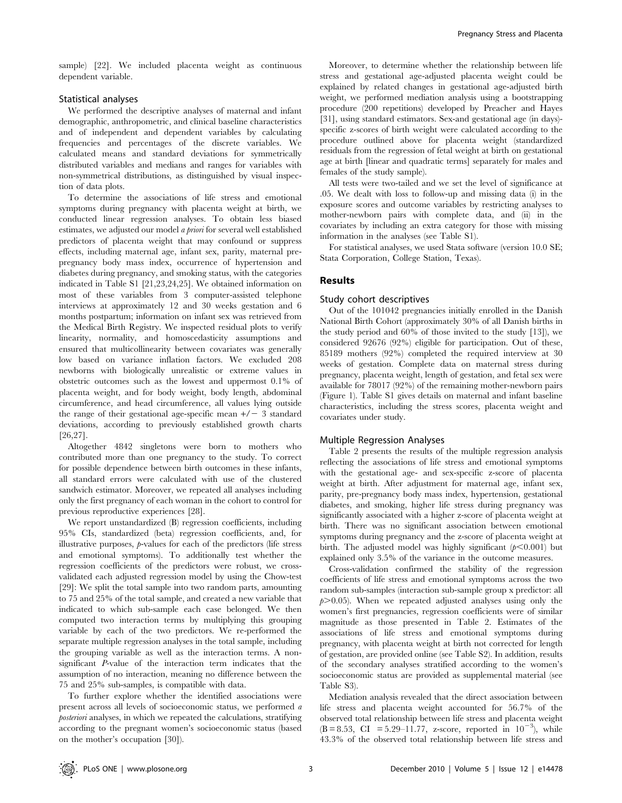sample) [22]. We included placenta weight as continuous dependent variable.

### Statistical analyses

We performed the descriptive analyses of maternal and infant demographic, anthropometric, and clinical baseline characteristics and of independent and dependent variables by calculating frequencies and percentages of the discrete variables. We calculated means and standard deviations for symmetrically distributed variables and medians and ranges for variables with non-symmetrical distributions, as distinguished by visual inspection of data plots.

To determine the associations of life stress and emotional symptoms during pregnancy with placenta weight at birth, we conducted linear regression analyses. To obtain less biased estimates, we adjusted our model a priori for several well established predictors of placenta weight that may confound or suppress effects, including maternal age, infant sex, parity, maternal prepregnancy body mass index, occurrence of hypertension and diabetes during pregnancy, and smoking status, with the categories indicated in Table S1 [21,23,24,25]. We obtained information on most of these variables from 3 computer-assisted telephone interviews at approximately 12 and 30 weeks gestation and 6 months postpartum; information on infant sex was retrieved from the Medical Birth Registry. We inspected residual plots to verify linearity, normality, and homoscedasticity assumptions and ensured that multicollinearity between covariates was generally low based on variance inflation factors. We excluded 208 newborns with biologically unrealistic or extreme values in obstetric outcomes such as the lowest and uppermost 0.1% of placenta weight, and for body weight, body length, abdominal circumference, and head circumference, all values lying outside the range of their gestational age-specific mean  $+/-3$  standard deviations, according to previously established growth charts [26,27].

Altogether 4842 singletons were born to mothers who contributed more than one pregnancy to the study. To correct for possible dependence between birth outcomes in these infants, all standard errors were calculated with use of the clustered sandwich estimator. Moreover, we repeated all analyses including only the first pregnancy of each woman in the cohort to control for previous reproductive experiences [28].

We report unstandardized (B) regression coefficients, including 95% CIs, standardized (beta) regression coefficients, and, for illustrative purposes,  $p$ -values for each of the predictors (life stress and emotional symptoms). To additionally test whether the regression coefficients of the predictors were robust, we crossvalidated each adjusted regression model by using the Chow-test [29]: We split the total sample into two random parts, amounting to 75 and 25% of the total sample, and created a new variable that indicated to which sub-sample each case belonged. We then computed two interaction terms by multiplying this grouping variable by each of the two predictors. We re-performed the separate multiple regression analyses in the total sample, including the grouping variable as well as the interaction terms. A nonsignificant P-value of the interaction term indicates that the assumption of no interaction, meaning no difference between the 75 and 25% sub-samples, is compatible with data.

To further explore whether the identified associations were present across all levels of socioeconomic status, we performed a posteriori analyses, in which we repeated the calculations, stratifying according to the pregnant women's socioeconomic status (based on the mother's occupation [30]).

Moreover, to determine whether the relationship between life stress and gestational age-adjusted placenta weight could be explained by related changes in gestational age-adjusted birth weight, we performed mediation analysis using a bootstrapping procedure (200 repetitions) developed by Preacher and Hayes [31], using standard estimators. Sex-and gestational age (in days) specific z-scores of birth weight were calculated according to the procedure outlined above for placenta weight (standardized residuals from the regression of fetal weight at birth on gestational age at birth [linear and quadratic terms] separately for males and females of the study sample).

All tests were two-tailed and we set the level of significance at .05. We dealt with loss to follow-up and missing data (i) in the exposure scores and outcome variables by restricting analyses to mother-newborn pairs with complete data, and (ii) in the covariates by including an extra category for those with missing information in the analyses (see Table S1).

For statistical analyses, we used Stata software (version 10.0 SE; Stata Corporation, College Station, Texas).

#### Results

#### Study cohort descriptives

Out of the 101042 pregnancies initially enrolled in the Danish National Birth Cohort (approximately 30% of all Danish births in the study period and 60% of those invited to the study [13]), we considered 92676 (92%) eligible for participation. Out of these, 85189 mothers (92%) completed the required interview at 30 weeks of gestation. Complete data on maternal stress during pregnancy, placenta weight, length of gestation, and fetal sex were available for 78017 (92%) of the remaining mother-newborn pairs (Figure 1). Table S1 gives details on maternal and infant baseline characteristics, including the stress scores, placenta weight and covariates under study.

#### Multiple Regression Analyses

Table 2 presents the results of the multiple regression analysis reflecting the associations of life stress and emotional symptoms with the gestational age- and sex-specific z-score of placenta weight at birth. After adjustment for maternal age, infant sex, parity, pre-pregnancy body mass index, hypertension, gestational diabetes, and smoking, higher life stress during pregnancy was significantly associated with a higher z-score of placenta weight at birth. There was no significant association between emotional symptoms during pregnancy and the z-score of placenta weight at birth. The adjusted model was highly significant  $(p<0.001)$  but explained only 3.5% of the variance in the outcome measures.

Cross-validation confirmed the stability of the regression coefficients of life stress and emotional symptoms across the two random sub-samples (interaction sub-sample group x predictor: all  $p > 0.05$ ). When we repeated adjusted analyses using only the women's first pregnancies, regression coefficients were of similar magnitude as those presented in Table 2. Estimates of the associations of life stress and emotional symptoms during pregnancy, with placenta weight at birth not corrected for length of gestation, are provided online (see Table S2). In addition, results of the secondary analyses stratified according to the women's socioeconomic status are provided as supplemental material (see Table S3).

Mediation analysis revealed that the direct association between life stress and placenta weight accounted for 56.7% of the observed total relationship between life stress and placenta weight  $(B = 8.53, CI = 5.29 - 11.77, z-score, reported in 10<sup>-3</sup>), while$ 43.3% of the observed total relationship between life stress and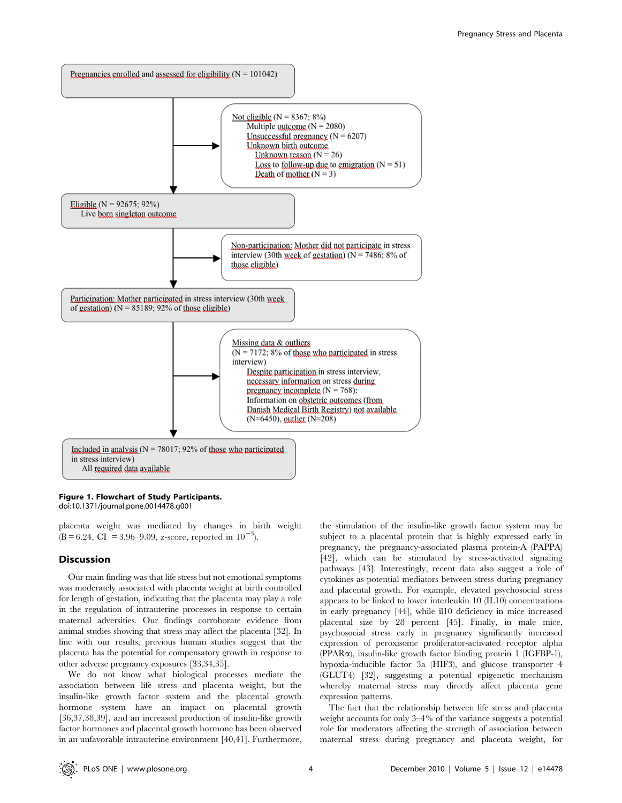

## Figure 1. Flowchart of Study Participants.

doi:10.1371/journal.pone.0014478.g001

placenta weight was mediated by changes in birth weight  $(B = 6.24, CI = 3.96-9.09, z-score, reported in 10^{-3}).$ 

## Discussion

Our main finding was that life stress but not emotional symptoms was moderately associated with placenta weight at birth controlled for length of gestation, indicating that the placenta may play a role in the regulation of intrauterine processes in response to certain maternal adversities. Our findings corroborate evidence from animal studies showing that stress may affect the placenta [32]. In line with our results, previous human studies suggest that the placenta has the potential for compensatory growth in response to other adverse pregnancy exposures [33,34,35].

We do not know what biological processes mediate the association between life stress and placenta weight, but the insulin-like growth factor system and the placental growth hormone system have an impact on placental growth [36,37,38,39], and an increased production of insulin-like growth factor hormones and placental growth hormone has been observed in an unfavorable intrauterine environment [40,41]. Furthermore,

the stimulation of the insulin-like growth factor system may be subject to a placental protein that is highly expressed early in pregnancy, the pregnancy-associated plasma protein-A (PAPPA) [42], which can be stimulated by stress-activated signaling pathways [43]. Interestingly, recent data also suggest a role of cytokines as potential mediators between stress during pregnancy and placental growth. For example, elevated psychosocial stress appears to be linked to lower interleukin 10 (IL10) concentrations in early pregnancy [44], while il10 deficiency in mice increased placental size by 28 percent [45]. Finally, in male mice, psychosocial stress early in pregnancy significantly increased expression of peroxisome proliferator-activated receptor alpha (PPARa), insulin-like growth factor binding protein 1 (IGFBP-1), hypoxia-inducible factor 3a (HIF3), and glucose transporter 4 (GLUT4) [32], suggesting a potential epigenetic mechanism whereby maternal stress may directly affect placenta gene expression patterns.

The fact that the relationship between life stress and placenta weight accounts for only 3–4% of the variance suggests a potential role for moderators affecting the strength of association between maternal stress during pregnancy and placenta weight, for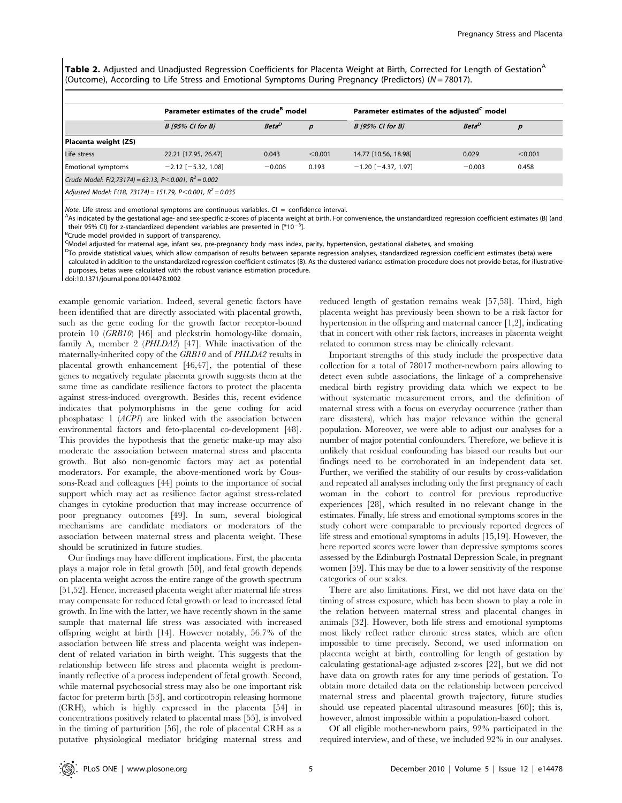Table 2. Adjusted and Unadjusted Regression Coefficients for Placenta Weight at Birth, Corrected for Length of Gestation<sup>A</sup> (Outcome), According to Life Stress and Emotional Symptoms During Pregnancy (Predictors) ( $N = 78017$ ).

|                                                         | Parameter estimates of the crude <sup>B</sup> model |                   |         | Parameter estimates of the adjusted <sup>C</sup> model |                   |         |  |  |  |
|---------------------------------------------------------|-----------------------------------------------------|-------------------|---------|--------------------------------------------------------|-------------------|---------|--|--|--|
|                                                         | <b>B</b> [95% CI for B]                             | Beta <sup>D</sup> | D       | <b>B</b> [95% CI for B]                                | Beta <sup>L</sup> |         |  |  |  |
| Placenta weight (ZS)                                    |                                                     |                   |         |                                                        |                   |         |  |  |  |
| Life stress                                             | 22.21 [17.95, 26.47]                                | 0.043             | < 0.001 | 14.77 [10.56, 18.98]                                   | 0.029             | < 0.001 |  |  |  |
| <b>Emotional symptoms</b>                               | $-2.12$ [ $-5.32$ , 1.08]                           | $-0.006$          | 0.193   | $-1.20$ [ $-4.37, 1.97$ ]                              | $-0.003$          | 0.458   |  |  |  |
| Crude Model: F(2,73174) = 63.13, P<0.001, $R^2$ = 0.002 |                                                     |                   |         |                                                        |                   |         |  |  |  |
|                                                         |                                                     |                   |         |                                                        |                   |         |  |  |  |

Adjusted Model: F(18, 73174) = 151.79, P<0.001,  $R^2 = 0.035$ 

Note. Life stress and emotional symptoms are continuous variables.  $Cl =$  confidence interval.

As indicated by the gestational age- and sex-specific z-scores of placenta weight at birth. For convenience, the unstandardized regression coefficient estimates (B) (and their 95% CI) for z-standardized dependent variables are presented in  $[*/10^{-3}]$ .

 ${}^{3}$ Crude model provided in support of transparency.

<sup>C</sup>Model adjusted for maternal age, infant sex, pre-pregnancy body mass index, parity, hypertension, gestational diabetes, and smoking.

<sup>D</sup>To provide statistical values, which allow comparison of results between separate regression analyses, standardized regression coefficient estimates (beta) were

calculated in addition to the unstandardized regression coefficient estimates (B). As the clustered variance estimation procedure does not provide betas, for illustrative purposes, betas were calculated with the robust variance estimation procedure.

doi:10.1371/journal.pone.0014478.t002

example genomic variation. Indeed, several genetic factors have been identified that are directly associated with placental growth, such as the gene coding for the growth factor receptor-bound protein 10 (GRB10) [46] and pleckstrin homology-like domain, family A, member 2 (PHLDA2) [47]. While inactivation of the maternally-inherited copy of the GRB10 and of PHLDA2 results in placental growth enhancement [46,47], the potential of these genes to negatively regulate placenta growth suggests them at the same time as candidate resilience factors to protect the placenta against stress-induced overgrowth. Besides this, recent evidence indicates that polymorphisms in the gene coding for acid phosphatase 1 (ACP1) are linked with the association between environmental factors and feto-placental co-development [48]. This provides the hypothesis that the genetic make-up may also moderate the association between maternal stress and placenta growth. But also non-genomic factors may act as potential moderators. For example, the above-mentioned work by Coussons-Read and colleagues [44] points to the importance of social support which may act as resilience factor against stress-related changes in cytokine production that may increase occurrence of poor pregnancy outcomes [49]. In sum, several biological mechanisms are candidate mediators or moderators of the association between maternal stress and placenta weight. These should be scrutinized in future studies.

Our findings may have different implications. First, the placenta plays a major role in fetal growth [50], and fetal growth depends on placenta weight across the entire range of the growth spectrum [51,52]. Hence, increased placenta weight after maternal life stress may compensate for reduced fetal growth or lead to increased fetal growth. In line with the latter, we have recently shown in the same sample that maternal life stress was associated with increased offspring weight at birth [14]. However notably, 56.7% of the association between life stress and placenta weight was independent of related variation in birth weight. This suggests that the relationship between life stress and placenta weight is predominantly reflective of a process independent of fetal growth. Second, while maternal psychosocial stress may also be one important risk factor for preterm birth [53], and corticotropin releasing hormone (CRH), which is highly expressed in the placenta [54] in concentrations positively related to placental mass [55], is involved in the timing of parturition [56], the role of placental CRH as a putative physiological mediator bridging maternal stress and reduced length of gestation remains weak [57,58]. Third, high placenta weight has previously been shown to be a risk factor for hypertension in the offspring and maternal cancer [1,2], indicating that in concert with other risk factors, increases in placenta weight related to common stress may be clinically relevant.

Important strengths of this study include the prospective data collection for a total of 78017 mother-newborn pairs allowing to detect even subtle associations, the linkage of a comprehensive medical birth registry providing data which we expect to be without systematic measurement errors, and the definition of maternal stress with a focus on everyday occurrence (rather than rare disasters), which has major relevance within the general population. Moreover, we were able to adjust our analyses for a number of major potential confounders. Therefore, we believe it is unlikely that residual confounding has biased our results but our findings need to be corroborated in an independent data set. Further, we verified the stability of our results by cross-validation and repeated all analyses including only the first pregnancy of each woman in the cohort to control for previous reproductive experiences [28], which resulted in no relevant change in the estimates. Finally, life stress and emotional symptoms scores in the study cohort were comparable to previously reported degrees of life stress and emotional symptoms in adults [15,19]. However, the here reported scores were lower than depressive symptoms scores assessed by the Edinburgh Postnatal Depression Scale, in pregnant women [59]. This may be due to a lower sensitivity of the response categories of our scales.

There are also limitations. First, we did not have data on the timing of stress exposure, which has been shown to play a role in the relation between maternal stress and placental changes in animals [32]. However, both life stress and emotional symptoms most likely reflect rather chronic stress states, which are often impossible to time precisely. Second, we used information on placenta weight at birth, controlling for length of gestation by calculating gestational-age adjusted z-scores [22], but we did not have data on growth rates for any time periods of gestation. To obtain more detailed data on the relationship between perceived maternal stress and placental growth trajectory, future studies should use repeated placental ultrasound measures [60]; this is, however, almost impossible within a population-based cohort.

Of all eligible mother-newborn pairs, 92% participated in the required interview, and of these, we included 92% in our analyses.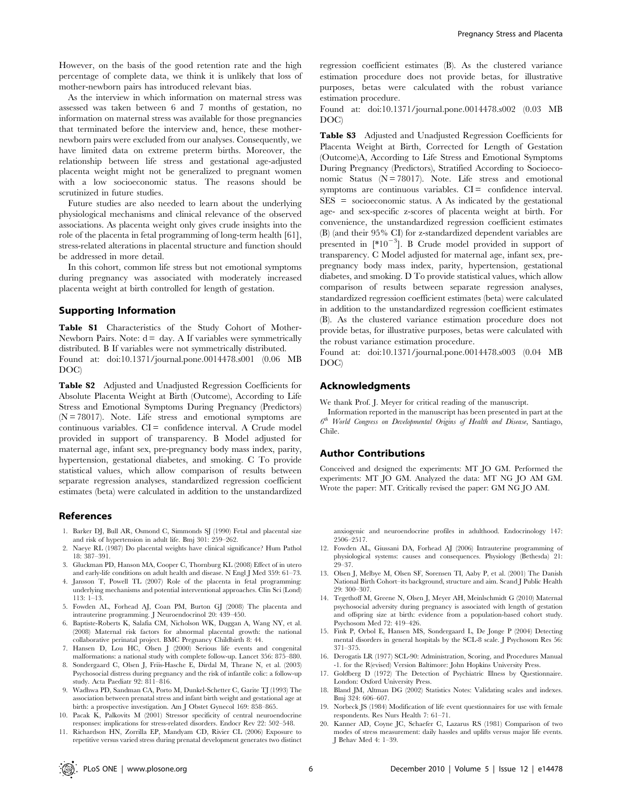As the interview in which information on maternal stress was assessed was taken between 6 and 7 months of gestation, no information on maternal stress was available for those pregnancies that terminated before the interview and, hence, these mothernewborn pairs were excluded from our analyses. Consequently, we have limited data on extreme preterm births. Moreover, the relationship between life stress and gestational age-adjusted placenta weight might not be generalized to pregnant women with a low socioeconomic status. The reasons should be scrutinized in future studies.

Future studies are also needed to learn about the underlying physiological mechanisms and clinical relevance of the observed associations. As placenta weight only gives crude insights into the role of the placenta in fetal programming of long-term health [61], stress-related alterations in placental structure and function should be addressed in more detail.

In this cohort, common life stress but not emotional symptoms during pregnancy was associated with moderately increased placenta weight at birth controlled for length of gestation.

## Supporting Information

Table S1 Characteristics of the Study Cohort of Mother-Newborn Pairs. Note:  $d = day$ . A If variables were symmetrically distributed. B If variables were not symmetrically distributed. Found at: doi:10.1371/journal.pone.0014478.s001 (0.06 MB DOC)

Table S2 Adjusted and Unadjusted Regression Coefficients for Absolute Placenta Weight at Birth (Outcome), According to Life Stress and Emotional Symptoms During Pregnancy (Predictors)  $(N = 78017)$ . Note. Life stress and emotional symptoms are  $continuous$  variables.  $CI =$  confidence interval. A Crude model provided in support of transparency. B Model adjusted for maternal age, infant sex, pre-pregnancy body mass index, parity, hypertension, gestational diabetes, and smoking. C To provide statistical values, which allow comparison of results between separate regression analyses, standardized regression coefficient estimates (beta) were calculated in addition to the unstandardized

#### References

- 1. Barker DJ, Bull AR, Osmond C, Simmonds SJ (1990) Fetal and placental size and risk of hypertension in adult life. Bmj 301: 259–262.
- 2. Naeye RL (1987) Do placental weights have clinical significance? Hum Pathol 18: 387–391.
- 3. Gluckman PD, Hanson MA, Cooper C, Thornburg KL (2008) Effect of in utero and early-life conditions on adult health and disease. N Engl J Med 359: 61–73.
- 4. Jansson T, Powell TL (2007) Role of the placenta in fetal programming: underlying mechanisms and potential interventional approaches. Clin Sci (Lond) 113: 1–13.
- 5. Fowden AL, Forhead AJ, Coan PM, Burton GJ (2008) The placenta and intrauterine programming. J Neuroendocrinol 20: 439–450.
- 6. Baptiste-Roberts K, Salafia CM, Nicholson WK, Duggan A, Wang NY, et al. (2008) Maternal risk factors for abnormal placental growth: the national collaborative perinatal project. BMC Pregnancy Childbirth 8: 44.
- 7. Hansen D, Lou HC, Olsen J (2000) Serious life events and congenital malformations: a national study with complete follow-up. Lancet 356: 875–880.
- 8. Sondergaard C, Olsen J, Friis-Hasche E, Dirdal M, Thrane N, et al. (2003) Psychosocial distress during pregnancy and the risk of infantile colic: a follow-up study. Acta Paediatr 92: 811–816.
- 9. Wadhwa PD, Sandman CA, Porto M, Dunkel-Schetter C, Garite TJ (1993) The association between prenatal stress and infant birth weight and gestational age at birth: a prospective investigation. Am J Obstet Gynecol 169: 858–865.
- 10. Pacak K, Palkovits M (2001) Stressor specificity of central neuroendocrine responses: implications for stress-related disorders. Endocr Rev 22: 502–548.
- 11. Richardson HN, Zorrilla EP, Mandyam CD, Rivier CL (2006) Exposure to repetitive versus varied stress during prenatal development generates two distinct

regression coefficient estimates (B). As the clustered variance estimation procedure does not provide betas, for illustrative purposes, betas were calculated with the robust variance estimation procedure.

Found at: doi:10.1371/journal.pone.0014478.s002 (0.03 MB DOC)

Table S3 Adjusted and Unadjusted Regression Coefficients for Placenta Weight at Birth, Corrected for Length of Gestation (Outcome)A, According to Life Stress and Emotional Symptoms During Pregnancy (Predictors), Stratified According to Socioeconomic Status  $(N = 78017)$ . Note. Life stress and emotional symptoms are continuous variables.  $CI =$  confidence interval. SES = socioeconomic status. A As indicated by the gestational age- and sex-specific z-scores of placenta weight at birth. For convenience, the unstandardized regression coefficient estimates (B) (and their 95% CI) for z-standardized dependent variables are presented in  $[*10^{-3}]$ . B Crude model provided in support of transparency. C Model adjusted for maternal age, infant sex, prepregnancy body mass index, parity, hypertension, gestational diabetes, and smoking. D To provide statistical values, which allow comparison of results between separate regression analyses, standardized regression coefficient estimates (beta) were calculated in addition to the unstandardized regression coefficient estimates (B). As the clustered variance estimation procedure does not provide betas, for illustrative purposes, betas were calculated with the robust variance estimation procedure.

Found at: doi:10.1371/journal.pone.0014478.s003 (0.04 MB DOC)

#### Acknowledgments

We thank Prof. J. Meyer for critical reading of the manuscript.

Information reported in the manuscript has been presented in part at the  $6<sup>th</sup>$  World Congress on Developmental Origins of Health and Disease, Santiago, Chile.

#### Author Contributions

Conceived and designed the experiments: MT JO GM. Performed the experiments: MT JO GM. Analyzed the data: MT NG JO AM GM. Wrote the paper: MT. Critically revised the paper: GM NG JO AM.

anxiogenic and neuroendocrine profiles in adulthood. Endocrinology 147: 2506–2517.

- 12. Fowden AL, Giussani DA, Forhead AJ (2006) Intrauterine programming of physiological systems: causes and consequences. Physiology (Bethesda) 21: 29–37.
- 13. Olsen J, Melbye M, Olsen SF, Sorensen TI, Aaby P, et al. (2001) The Danish National Birth Cohort–its background, structure and aim. Scand J Public Health 29: 300–307.
- 14. Tegethoff M, Greene N, Olsen J, Meyer AH, Meinlschmidt G (2010) Maternal psychosocial adversity during pregnancy is associated with length of gestation and offspring size at birth: evidence from a population-based cohort study. Psychosom Med 72: 419–426.
- 15. Fink P, Orbol E, Hansen MS, Sondergaard L, De Jonge P (2004) Detecting mental disorders in general hospitals by the SCL-8 scale. J Psychosom Res 56: 371–375.
- 16. Derogatis LR (1977) SCL-90: Administration, Scoring, and Procedures Manual -1. for the R(evised) Version Baltimore: John Hopkins University Press.
- 17. Goldberg D (1972) The Detection of Psychiatric Illness by Questionnaire. London: Oxford University Press.
- 18. Bland JM, Altman DG (2002) Statistics Notes: Validating scales and indexes. Bmj 324: 606–607.
- 19. Norbeck JS (1984) Modification of life event questionnaires for use with female respondents. Res Nurs Health 7: 61–71.
- 20. Kanner AD, Coyne JC, Schaefer C, Lazarus RS (1981) Comparison of two modes of stress measurement: daily hassles and uplifts versus major life events. J Behav Med 4: 1–39.